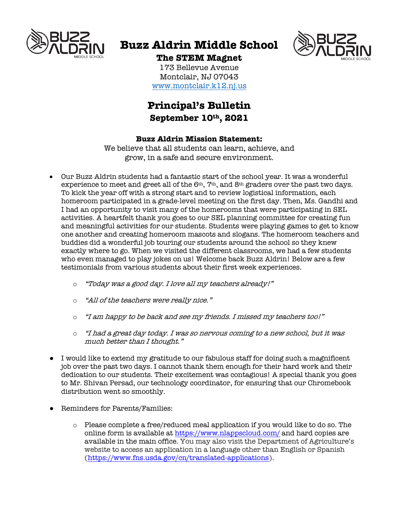

# **Buzz Aldrin Middle School**



# **The STEM Magnet**

173 Bellevue Avenue Montclair, NJ 07043 www.montclair.k12.nj.us

# **Principal's Bulletin September 10th, 2021**

## **Buzz Aldrin Mission Statement:**

We believe that all students can learn, achieve, and grow, in a safe and secure environment.

- Our Buzz Aldrin students had a fantastic start of the school year. It was a wonderful experience to meet and greet all of the 6<sup>th</sup>, 7<sup>th</sup>, and 8<sup>th</sup> graders over the past two days. To kick the year off with a strong start and to review logistical information, each homeroom participated in a grade-level meeting on the first day. Then, Ms. Gandhi and I had an opportunity to visit many of the homerooms that were participating in SEL activities. A heartfelt thank you goes to our SEL planning committee for creating fun and meaningful activities for our students. Students were playing games to get to know one another and creating homeroom mascots and slogans. The homeroom teachers and buddies did a wonderful job touring our students around the school so they knew exactly where to go. When we visited the different classrooms, we had a few students who even managed to play jokes on us! Welcome back Buzz Aldrin! Below are a few testimonials from various students about their first week experiences.
	- o "Today was a good day. I love all my teachers already!"
	- o "All of the teachers were really nice."
	- $\circ$  "I am happy to be back and see my friends. I missed my teachers too!"
	- $\circ$  "I had a great day today. I was so nervous coming to a new school, but it was much better than I thought."
- I would like to extend my gratitude to our fabulous staff for doing such a magnificent job over the past two days. I cannot thank them enough for their hard work and their dedication to our students. Their excitement was contagious! A special thank you goes to Mr. Shivan Persad, our technology coordinator, for ensuring that our Chromebook distribution went so smoothly.
- Reminders for Parents/Families:
	- o Please complete a free/reduced meal application if you would like to do so. The online form is available at https://www.nlappscloud.com/ and hard copies are available in the main office. You may also visit the Department of Agriculture's website to access an application in a language other than English or Spanish (https://www.fns.usda.gov/cn/translated-applications).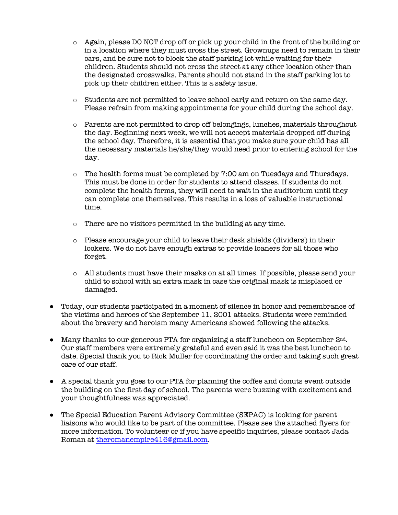- o Again, please DO NOT drop off or pick up your child in the front of the building or in a location where they must cross the street. Grownups need to remain in their cars, and be sure not to block the staff parking lot while waiting for their children. Students should not cross the street at any other location other than the designated crosswalks. Parents should not stand in the staff parking lot to pick up their children either. This is a safety issue.
- o Students are not permitted to leave school early and return on the same day. Please refrain from making appointments for your child during the school day.
- $\circ$  Parents are not permitted to drop off belongings, lunches, materials throughout the day. Beginning next week, we will not accept materials dropped off during the school day. Therefore, it is essential that you make sure your child has all the necessary materials he/she/they would need prior to entering school for the day.
- o The health forms must be completed by 7:00 am on Tuesdays and Thursdays. This must be done in order for students to attend classes. If students do not complete the health forms, they will need to wait in the auditorium until they can complete one themselves. This results in a loss of valuable instructional time.
- o There are no visitors permitted in the building at any time.
- o Please encourage your child to leave their desk shields (dividers) in their lockers. We do not have enough extras to provide loaners for all those who forget.
- o All students must have their masks on at all times. If possible, please send your child to school with an extra mask in case the original mask is misplaced or damaged.
- Today, our students participated in a moment of silence in honor and remembrance of the victims and heroes of the September 11, 2001 attacks. Students were reminded about the bravery and heroism many Americans showed following the attacks.
- Many thanks to our generous PTA for organizing a staff luncheon on September 2nd. Our staff members were extremely grateful and even said it was the best luncheon to date. Special thank you to Rick Muller for coordinating the order and taking such great care of our staff.
- A special thank you goes to our PTA for planning the coffee and donuts event outside the building on the first day of school. The parents were buzzing with excitement and your thoughtfulness was appreciated.
- The Special Education Parent Advisory Committee (SEPAC) is looking for parent liaisons who would like to be part of the committee. Please see the attached flyers for more information. To volunteer or if you have specific inquiries, please contact Jada Roman at theromanempire416@gmail.com.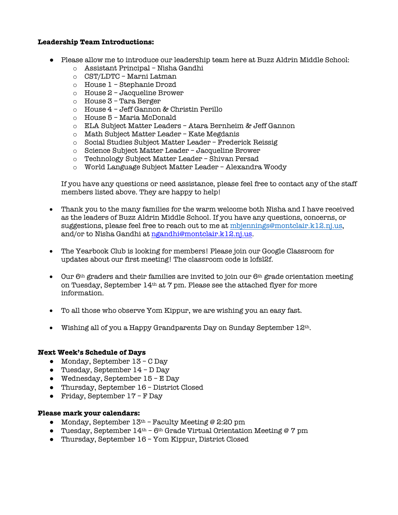### **Leadership Team Introductions:**

- Please allow me to introduce our leadership team here at Buzz Aldrin Middle School:
	- o Assistant Principal Nisha Gandhi
	- o CST/LDTC Marni Latman
	- o House 1 Stephanie Drozd
	- o House 2 Jacqueline Brower
	- o House 3 Tara Berger
	- o House 4 Jeff Gannon & Christin Perillo
	- o House 5 Maria McDonald
	- o ELA Subject Matter Leaders Atara Bernheim & Jeff Gannon
	- o Math Subject Matter Leader Kate Megdanis
	- o Social Studies Subject Matter Leader Frederick Reissig
	- o Science Subject Matter Leader Jacqueline Brower
	- o Technology Subject Matter Leader Shivan Persad
	- o World Language Subject Matter Leader Alexandra Woody

If you have any questions or need assistance, please feel free to contact any of the staff members listed above. They are happy to help!

- Thank you to the many families for the warm welcome both Nisha and I have received as the leaders of Buzz Aldrin Middle School. If you have any questions, concerns, or suggestions, please feel free to reach out to me at mbjennings@montclair.k12.nj.us, and/or to Nisha Gandhi at ngandhi@montclair.k12.nj.us.
- The Yearbook Club is looking for members! Please join our Google Classroom for updates about our first meeting! The classroom code is lofsl2f.
- Our  $6<sup>th</sup>$  graders and their families are invited to join our  $6<sup>th</sup>$  grade orientation meeting on Tuesday, September  $14<sup>th</sup>$  at 7 pm. Please see the attached flyer for more information.
- To all those who observe Yom Kippur, we are wishing you an easy fast.
- Wishing all of you a Happy Grandparents Day on Sunday September 12th.

### **Next Week's Schedule of Days**

- Monday, September 13 C Day
- Tuesday, September  $14 D$  Day
- Wednesday, September 15 E Day
- Thursday, September 16 District Closed
- Friday, September  $17 F$  Day

### **Please mark your calendars:**

- Monday, September  $13<sup>th</sup>$  Faculty Meeting @ 2:20 pm
- Tuesday, September 14<sup>th</sup> 6<sup>th</sup> Grade Virtual Orientation Meeting @ 7 pm
- Thursday, September 16 Yom Kippur, District Closed